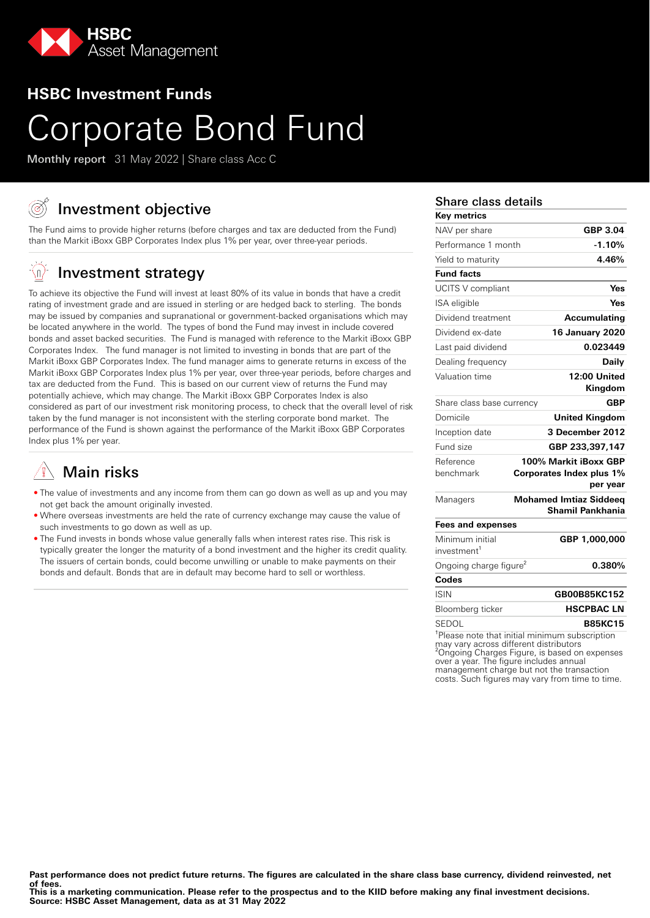

# **HSBC Investment Funds**

# Corporate Bond Fund

Monthly report 31 May 2022 | Share class Acc C

# Investment objective

The Fund aims to provide higher returns (before charges and tax are deducted from the Fund) than the Markit iBoxx GBP Corporates Index plus 1% per year, over three-year periods.

#### -(n) Investment strategy

To achieve its objective the Fund will invest at least 80% of its value in bonds that have a credit rating of investment grade and are issued in sterling or are hedged back to sterling. The bonds may be issued by companies and supranational or government-backed organisations which may be located anywhere in the world. The types of bond the Fund may invest in include covered bonds and asset backed securities. The Fund is managed with reference to the Markit iBoxx GBP Corporates Index. The fund manager is not limited to investing in bonds that are part of the Markit iBoxx GBP Corporates Index. The fund manager aims to generate returns in excess of the Markit iBoxx GBP Corporates Index plus 1% per year, over three-year periods, before charges and tax are deducted from the Fund. This is based on our current view of returns the Fund may potentially achieve, which may change. The Markit iBoxx GBP Corporates Index is also considered as part of our investment risk monitoring process, to check that the overall level of risk taken by the fund manager is not inconsistent with the sterling corporate bond market. The performance of the Fund is shown against the performance of the Markit iBoxx GBP Corporates Index plus 1% per year.

# Main risks

- The value of investments and any income from them can go down as well as up and you may not get back the amount originally invested.
- Where overseas investments are held the rate of currency exchange may cause the value of such investments to go down as well as up.
- The Fund invests in bonds whose value generally falls when interest rates rise. This risk is typically greater the longer the maturity of a bond investment and the higher its credit quality. The issuers of certain bonds, could become unwilling or unable to make payments on their bonds and default. Bonds that are in default may become hard to sell or worthless.

### Share class details

| <b>Key metrics</b>                 |                                                    |
|------------------------------------|----------------------------------------------------|
| NAV per share                      | GBP 3.04                                           |
| Performance 1 month                | $-1.10%$                                           |
| Yield to maturity                  | 4.46%                                              |
| <b>Fund facts</b>                  |                                                    |
| UCITS V compliant                  | Yes                                                |
| ISA eligible                       | Yes                                                |
| Dividend treatment                 | Accumulating                                       |
| Dividend ex-date                   | 16 January 2020                                    |
| Last paid dividend                 | 0.023449                                           |
| Dealing frequency                  | Daily                                              |
| Valuation time                     | 12:00 United                                       |
|                                    | Kingdom                                            |
| Share class base currency          | <b>GBP</b>                                         |
| Domicile                           | <b>United Kingdom</b>                              |
| Inception date                     | 3 December 2012                                    |
| Fund size                          | GBP 233,397,147                                    |
| Reference                          | 100% Markit iBoxx GBP                              |
| benchmark                          | Corporates Index plus 1%                           |
|                                    | per year                                           |
| Managers                           | <b>Mohamed Imtiaz Siddeeg</b><br>Shamil Pankhania  |
| <b>Fees and expenses</b>           |                                                    |
| Minimum initial                    | GBP 1,000,000                                      |
| investment <sup>1</sup>            |                                                    |
| Ongoing charge figure <sup>2</sup> | 0.380%                                             |
| Codes                              |                                                    |
| <b>ISIN</b>                        | GB00B85KC152                                       |
| Bloomberg ticker                   | <b>HSCPBAC LN</b>                                  |
| SEDOL                              | <b>B85KC15</b>                                     |
|                                    | $1$ Dlease pate that initial minimum subsecription |

Please note that initial minimum subscription may vary across different distributors ²Ongoing Charges Figure, is based on expenses over a year. The figure includes annual management charge but not the transaction costs. Such figures may vary from time to time.

Past performance does not predict future returns. The figures are calculated in the share class base currency, dividend reinvested, net **of fees.**

**This is a marketing communication. Please refer to the prospectus and to the KIID before making any final investment decisions. Source: HSBC Asset Management, data as at 31 May 2022**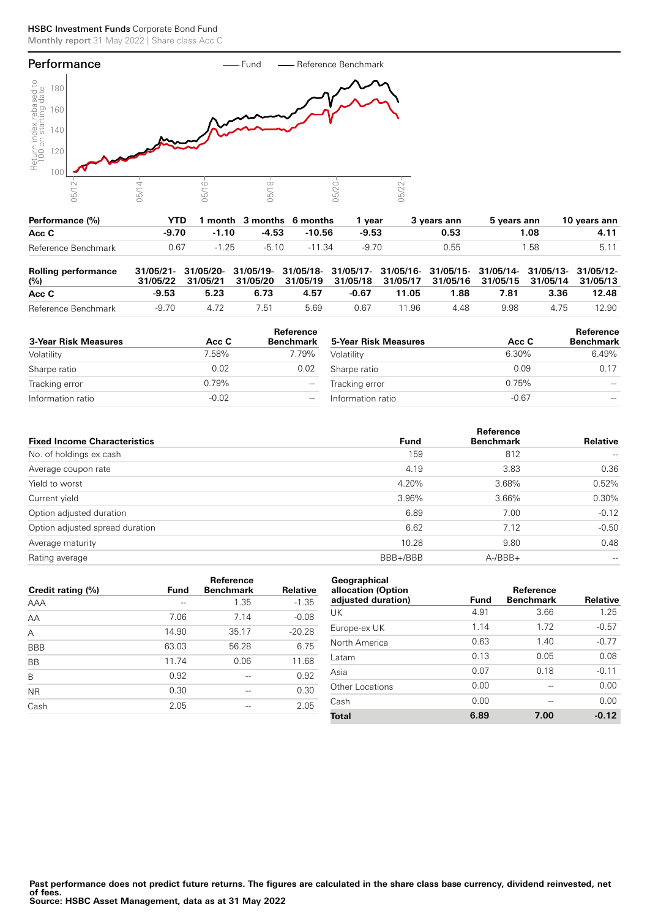### HSBC Investment Funds Corporate Bond Fund Monthly report 31 May 2022 | Share class Acc C



| Performance (%)     | YTD.  |         | month 3 months 6 months |        | vear    | 3 years ann | 5 years ann | 10 years ann |
|---------------------|-------|---------|-------------------------|--------|---------|-------------|-------------|--------------|
| Acc C               | -9.70 | $-1.10$ | -4.53                   | -10.56 | $-9.53$ | 0.53        | I .08       |              |
| Reference Benchmark | 0.67  | $-1,25$ | -5.10                   | -11.34 | -9.70   | 0.55        | .58         |              |

| <b>Rolling performance</b><br>$(\%)$ |       |      | 31/05/21- 31/05/20- 31/05/19- 31/05/18- 31/05/17- 31/05/16- 31/05/15- 31/05/14- 31/05/13- 31/05/12-<br>31/05/22 31/05/21 31/05/20 31/05/19 31/05/18 31/05/17 31/05/16 31/05/15 31/05/14 31/05/13 |      |       |       |      |      |       |       |
|--------------------------------------|-------|------|--------------------------------------------------------------------------------------------------------------------------------------------------------------------------------------------------|------|-------|-------|------|------|-------|-------|
| Acc C                                | -9.53 | 5.23 | 6.73                                                                                                                                                                                             | 4.57 | -0.67 | 11.05 | 1.88 | 7.81 | 3.36  | 12.48 |
| Reference Benchmark                  | -9.70 | 4.72 | 7.51                                                                                                                                                                                             | 5.69 | 0.67  | 11.96 | 4.48 | 9.98 | 4 7 5 | 12.90 |

| 3-Year Risk Measures | Acc C   | Reference<br><b>Benchmark</b>                       | 5-Year Risk Measures | Acc C   | Reference<br><b>Benchmark</b> |
|----------------------|---------|-----------------------------------------------------|----------------------|---------|-------------------------------|
| Volatility           | 7.58%   | 7.79%                                               | Volatility           | 6.30%   | 6.49%                         |
| Sharpe ratio         | 0.02    | 0.02                                                | Sharpe ratio         | 0.09    | 0.17                          |
| Tracking error       | 0.79%   | $\hspace{0.05cm} -\hspace{0.05cm} -\hspace{0.05cm}$ | Tracking error       | 0.75%   | $- -$                         |
| Information ratio    | $-0.02$ | $-$                                                 | Information ratio    | $-0.67$ | $\hspace{0.05cm} -$           |

|                                     |             | Reference        |                   |
|-------------------------------------|-------------|------------------|-------------------|
| <b>Fixed Income Characteristics</b> | <b>Fund</b> | <b>Benchmark</b> | Relative          |
| No. of holdings ex cash             | 159         | 812              |                   |
| Average coupon rate                 | 4.19        | 3.83             | 0.36              |
| Yield to worst                      | 4.20%       | 3.68%            | 0.52%             |
| Current yield                       | 3.96%       | 3.66%            | 0.30%             |
| Option adjusted duration            | 6.89        | 7.00             | $-0.12$           |
| Option adjusted spread duration     | 6.62        | 7.12             | $-0.50$           |
| Average maturity                    | 10.28       | 9.80             | 0.48              |
| Rating average                      | BBB+/BBB    | $A - /BBB +$     | $\qquad \qquad -$ |
|                                     |             |                  |                   |

| Credit rating (%) | <b>Fund</b> | Reference<br><b>Benchmark</b> | <b>Relative</b> |
|-------------------|-------------|-------------------------------|-----------------|
| AAA               | --          | 1.35                          | $-1.35$         |
| AA                | 7.06        | 7.14                          | $-0.08$         |
| A                 | 14.90       | 35.17                         | $-20.28$        |
| <b>BBB</b>        | 63.03       | 56.28                         | 6.75            |
| <b>BB</b>         | 11.74       | 0.06                          | 11.68           |
| B                 | 0.92        |                               | 0.92            |
| <b>NR</b>         | 0.30        | --                            | 0.30            |
| Cash              | 2.05        |                               | 2.05            |
|                   |             |                               |                 |

| Geographical<br>allocation (Option<br>adjusted duration) | Fund | <b>Reference</b><br><b>Benchmark</b> | <b>Relative</b> |
|----------------------------------------------------------|------|--------------------------------------|-----------------|
|                                                          | 4.91 | 3.66                                 | 1.25            |
| UK                                                       |      |                                      |                 |
| Europe-ex UK                                             | 1.14 | 1 7 2                                | $-0.57$         |
| North America                                            | 0.63 | 1.40                                 | $-0.77$         |
| Latam                                                    | 0.13 | 0.05                                 | 0.08            |
| Asia                                                     | 0.07 | 0.18                                 | $-0.11$         |
| Other Locations                                          | 0.00 |                                      | 0.00            |
| Cash                                                     | 0.00 | --                                   | 0.00            |
| Total                                                    | 6.89 | 7.00                                 | $-0.12$         |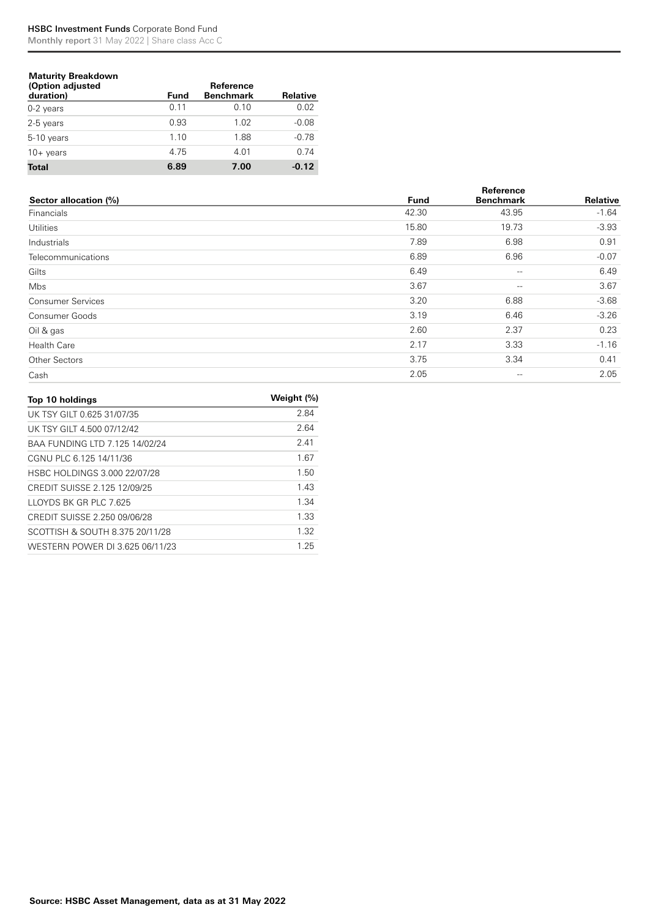## HSBC Investment Funds Corporate Bond Fund

Monthly report 31 May 2022 | Share class Acc C

| <b>Maturity Breakdown</b><br>(Option adjusted<br>duration) | <b>Fund</b> | Reference<br><b>Benchmark</b> | Relative |
|------------------------------------------------------------|-------------|-------------------------------|----------|
| $0-2$ years                                                | 0.11        | 0.10                          | 0.02     |
| 2-5 years                                                  | 0.93        | 1.02                          | $-0.08$  |
| 5-10 years                                                 | 1.10        | 1.88                          | $-0.78$  |
| $10 + \mathrm{years}$                                      | 4.75        | 4.01                          | 0.74     |
| <b>Total</b>                                               | 6.89        | 7.00                          | $-0.12$  |

|                          |             | Reference         |          |
|--------------------------|-------------|-------------------|----------|
| Sector allocation (%)    | <b>Fund</b> | <b>Benchmark</b>  | Relative |
| Financials               | 42.30       | 43.95             | $-1.64$  |
| <b>Utilities</b>         | 15.80       | 19.73             | $-3.93$  |
| Industrials              | 7.89        | 6.98              | 0.91     |
| Telecommunications       | 6.89        | 6.96              | $-0.07$  |
| Gilts                    | 6.49        | $- -$             | 6.49     |
| Mbs                      | 3.67        | $- -$             | 3.67     |
| <b>Consumer Services</b> | 3.20        | 6.88              | $-3.68$  |
| Consumer Goods           | 3.19        | 6.46              | $-3.26$  |
| Oil & gas                | 2.60        | 2.37              | 0.23     |
| <b>Health Care</b>       | 2.17        | 3.33              | $-1.16$  |
| <b>Other Sectors</b>     | 3.75        | 3.34              | 0.41     |
| Cash                     | 2.05        | $\qquad \qquad -$ | 2.05     |

| Top 10 holdings                 | Weight (%) |
|---------------------------------|------------|
| UK TSY GILT 0.625 31/07/35      | 2.84       |
| UK TSY GILT 4.500 07/12/42      | 2.64       |
| BAA FUNDING LTD 7.125 14/02/24  | 241        |
| CGNU PLC 6.125 14/11/36         | 1.67       |
| HSBC HOLDINGS 3.000 22/07/28    | 1.50       |
| CREDIT SUISSE 2.125 12/09/25    | 143        |
| <b>ILOYDS BK GR PLC 7625</b>    | 1.34       |
| CREDIT SUISSE 2.250 09/06/28    | 1.33       |
| SCOTTISH & SOUTH 8.375 20/11/28 | 1.32       |
| WESTERN POWER DI 3.625 06/11/23 | 1 25       |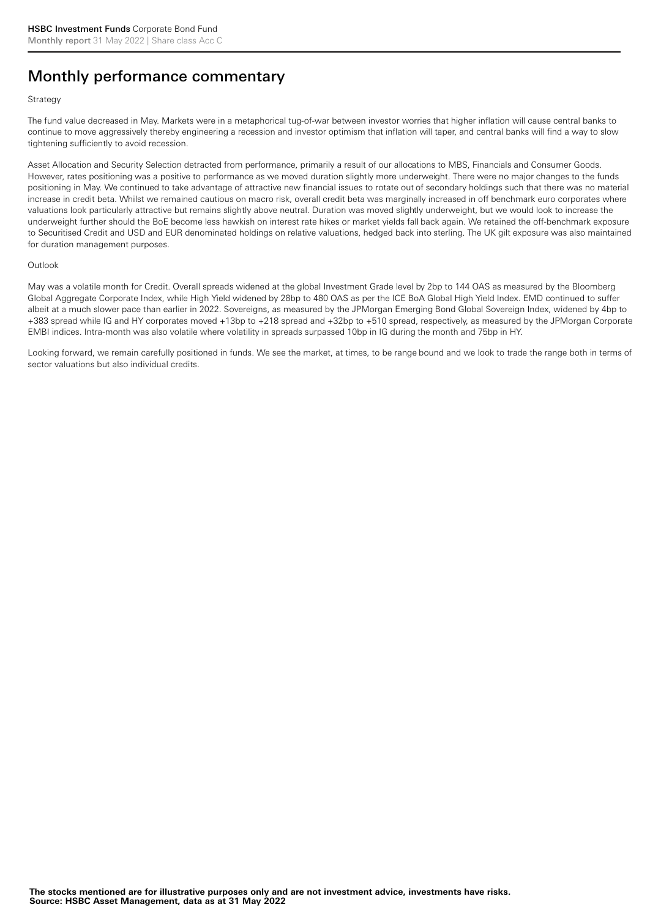# Monthly performance commentary

#### **Strategy**

The fund value decreased in May. Markets were in a metaphorical tug-of-war between investor worries that higher inflation will cause central banks to continue to move aggressively thereby engineering a recession and investor optimism that inflation will taper, and central banks will find a way to slow tightening sufficiently to avoid recession.

Asset Allocation and Security Selection detracted from performance, primarily a result of our allocations to MBS, Financials and Consumer Goods. However, rates positioning was a positive to performance as we moved duration slightly more underweight. There were no major changes to the funds positioning in May. We continued to take advantage of attractive new financial issues to rotate out of secondary holdings such that there was no material increase in credit beta. Whilst we remained cautious on macro risk, overall credit beta was marginally increased in off benchmark euro corporates where valuations look particularly attractive but remains slightly above neutral. Duration was moved slightly underweight, but we would look to increase the underweight further should the BoE become less hawkish on interest rate hikes or market yields fall back again. We retained the off-benchmark exposure to Securitised Credit and USD and EUR denominated holdings on relative valuations, hedged back into sterling. The UK gilt exposure was also maintained for duration management purposes.

#### **Outlook**

May was a volatile month for Credit. Overall spreads widened at the global Investment Grade level by 2bp to 144 OAS as measured by the Bloomberg Global Aggregate Corporate Index, while High Yield widened by 28bp to 480 OAS as per the ICE BoA Global High Yield Index. EMD continued to suffer albeit at a much slower pace than earlier in 2022. Sovereigns, as measured by the JPMorgan Emerging Bond Global Sovereign Index, widened by 4bp to +383 spread while IG and HY corporates moved +13bp to +218 spread and +32bp to +510 spread, respectively, as measured by the JPMorgan Corporate EMBI indices. Intra-month was also volatile where volatility in spreads surpassed 10bp in IG during the month and 75bp in HY.

Looking forward, we remain carefully positioned in funds. We see the market, at times, to be range bound and we look to trade the range both in terms of sector valuations but also individual credits.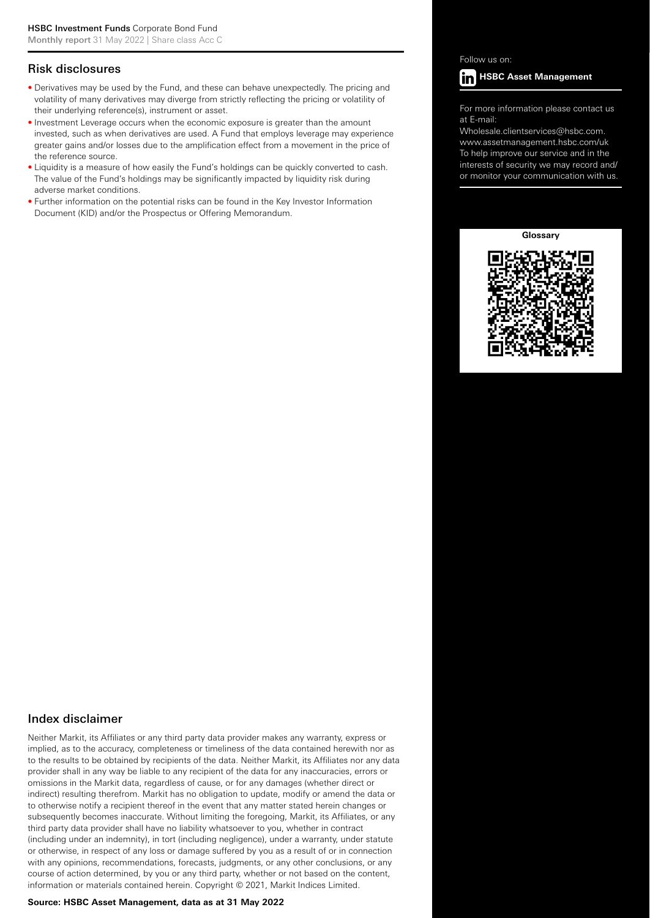### Risk disclosures

- Derivatives may be used by the Fund, and these can behave unexpectedly. The pricing and volatility of many derivatives may diverge from strictly reflecting the pricing or volatility of their underlying reference(s), instrument or asset.
- Investment Leverage occurs when the economic exposure is greater than the amount invested, such as when derivatives are used. A Fund that employs leverage may experience greater gains and/or losses due to the amplification effect from a movement in the price of the reference source.
- Liquidity is a measure of how easily the Fund's holdings can be quickly converted to cash. The value of the Fund's holdings may be significantly impacted by liquidity risk during adverse market conditions.
- Further information on the potential risks can be found in the Key Investor Information Document (KID) and/or the Prospectus or Offering Memorandum.

Follow us on:



For more information please contact us at E-mail:

Wholesale.clientservices@hsbc.com. www.assetmanagement.hsbc.com/uk To help improve our service and in the interests of security we may record and/ or monitor your communication with us.

**Glossary**



## Index disclaimer

Neither Markit, its Affiliates or any third party data provider makes any warranty, express or implied, as to the accuracy, completeness or timeliness of the data contained herewith nor as to the results to be obtained by recipients of the data. Neither Markit, its Affiliates nor any data provider shall in any way be liable to any recipient of the data for any inaccuracies, errors or omissions in the Markit data, regardless of cause, or for any damages (whether direct or indirect) resulting therefrom. Markit has no obligation to update, modify or amend the data or to otherwise notify a recipient thereof in the event that any matter stated herein changes or subsequently becomes inaccurate. Without limiting the foregoing, Markit, its Affiliates, or any third party data provider shall have no liability whatsoever to you, whether in contract (including under an indemnity), in tort (including negligence), under a warranty, under statute or otherwise, in respect of any loss or damage suffered by you as a result of or in connection with any opinions, recommendations, forecasts, judgments, or any other conclusions, or any course of action determined, by you or any third party, whether or not based on the content, information or materials contained herein. Copyright © 2021, Markit Indices Limited.

#### **Source: HSBC Asset Management, data as at 31 May 2022**